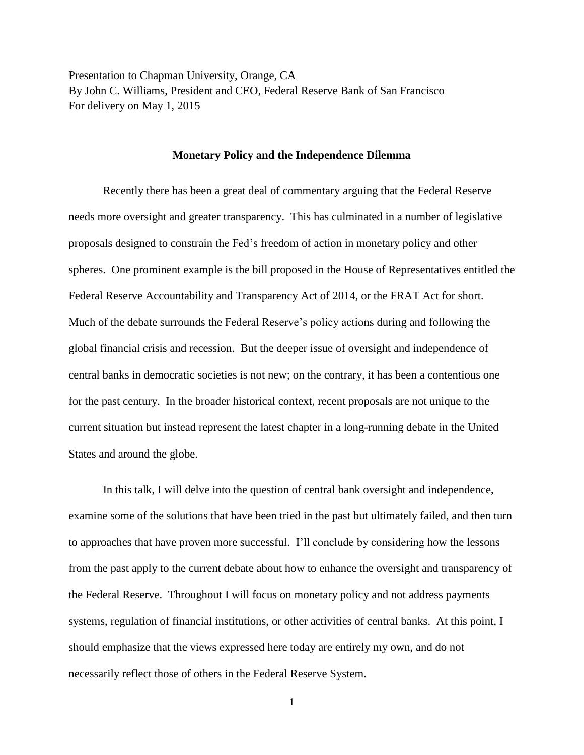Presentation to Chapman University, Orange, CA By John C. Williams, President and CEO, Federal Reserve Bank of San Francisco For delivery on May 1, 2015

#### **Monetary Policy and the Independence Dilemma**

Recently there has been a great deal of commentary arguing that the Federal Reserve needs more oversight and greater transparency. This has culminated in a number of legislative proposals designed to constrain the Fed's freedom of action in monetary policy and other spheres. One prominent example is the bill proposed in the House of Representatives entitled the Federal Reserve Accountability and Transparency Act of 2014, or the FRAT Act for short. Much of the debate surrounds the Federal Reserve's policy actions during and following the global financial crisis and recession. But the deeper issue of oversight and independence of central banks in democratic societies is not new; on the contrary, it has been a contentious one for the past century. In the broader historical context, recent proposals are not unique to the current situation but instead represent the latest chapter in a long-running debate in the United States and around the globe.

In this talk, I will delve into the question of central bank oversight and independence, examine some of the solutions that have been tried in the past but ultimately failed, and then turn to approaches that have proven more successful. I'll conclude by considering how the lessons from the past apply to the current debate about how to enhance the oversight and transparency of the Federal Reserve. Throughout I will focus on monetary policy and not address payments systems, regulation of financial institutions, or other activities of central banks. At this point, I should emphasize that the views expressed here today are entirely my own, and do not necessarily reflect those of others in the Federal Reserve System.

1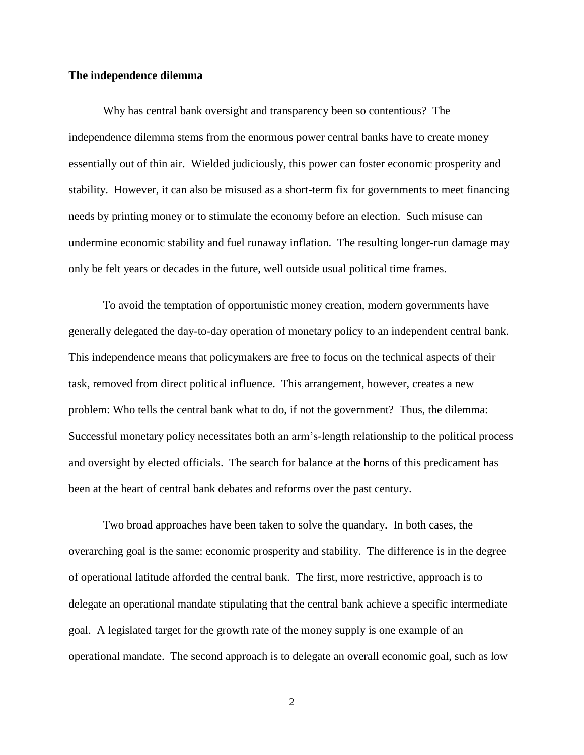### **The independence dilemma**

Why has central bank oversight and transparency been so contentious? The independence dilemma stems from the enormous power central banks have to create money essentially out of thin air. Wielded judiciously, this power can foster economic prosperity and stability. However, it can also be misused as a short-term fix for governments to meet financing needs by printing money or to stimulate the economy before an election. Such misuse can undermine economic stability and fuel runaway inflation. The resulting longer-run damage may only be felt years or decades in the future, well outside usual political time frames.

To avoid the temptation of opportunistic money creation, modern governments have generally delegated the day-to-day operation of monetary policy to an independent central bank. This independence means that policymakers are free to focus on the technical aspects of their task, removed from direct political influence. This arrangement, however, creates a new problem: Who tells the central bank what to do, if not the government? Thus, the dilemma: Successful monetary policy necessitates both an arm's-length relationship to the political process and oversight by elected officials. The search for balance at the horns of this predicament has been at the heart of central bank debates and reforms over the past century.

Two broad approaches have been taken to solve the quandary. In both cases, the overarching goal is the same: economic prosperity and stability. The difference is in the degree of operational latitude afforded the central bank. The first, more restrictive, approach is to delegate an operational mandate stipulating that the central bank achieve a specific intermediate goal. A legislated target for the growth rate of the money supply is one example of an operational mandate. The second approach is to delegate an overall economic goal, such as low

2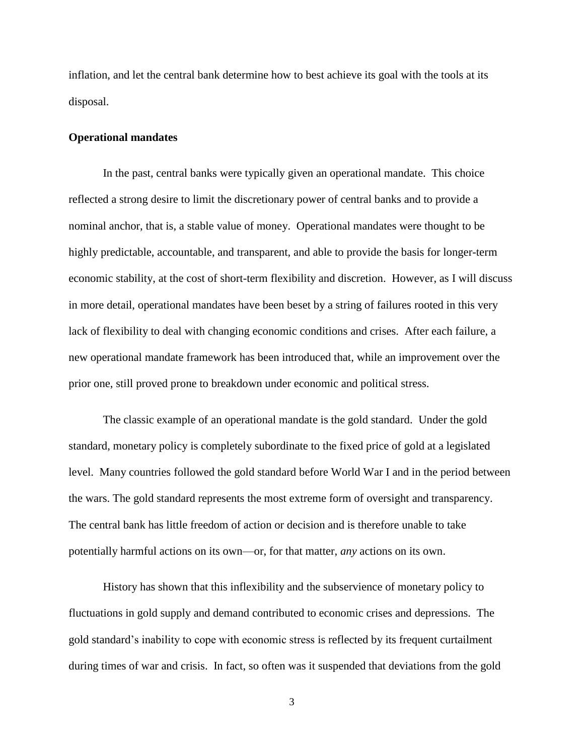inflation, and let the central bank determine how to best achieve its goal with the tools at its disposal.

#### **Operational mandates**

In the past, central banks were typically given an operational mandate. This choice reflected a strong desire to limit the discretionary power of central banks and to provide a nominal anchor, that is, a stable value of money. Operational mandates were thought to be highly predictable, accountable, and transparent, and able to provide the basis for longer-term economic stability, at the cost of short-term flexibility and discretion. However, as I will discuss in more detail, operational mandates have been beset by a string of failures rooted in this very lack of flexibility to deal with changing economic conditions and crises. After each failure, a new operational mandate framework has been introduced that, while an improvement over the prior one, still proved prone to breakdown under economic and political stress.

The classic example of an operational mandate is the gold standard. Under the gold standard, monetary policy is completely subordinate to the fixed price of gold at a legislated level. Many countries followed the gold standard before World War I and in the period between the wars. The gold standard represents the most extreme form of oversight and transparency. The central bank has little freedom of action or decision and is therefore unable to take potentially harmful actions on its own—or, for that matter, *any* actions on its own.

History has shown that this inflexibility and the subservience of monetary policy to fluctuations in gold supply and demand contributed to economic crises and depressions. The gold standard's inability to cope with economic stress is reflected by its frequent curtailment during times of war and crisis. In fact, so often was it suspended that deviations from the gold

3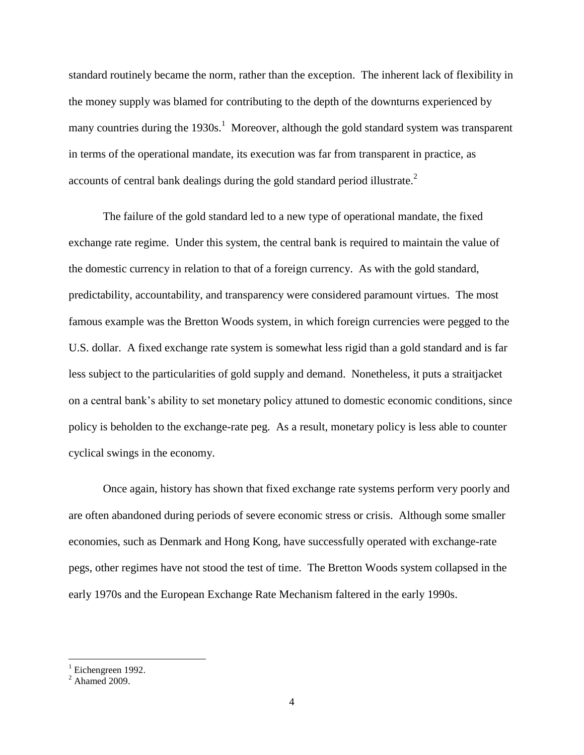standard routinely became the norm, rather than the exception. The inherent lack of flexibility in the money supply was blamed for contributing to the depth of the downturns experienced by many countries during the 1930s.<sup>1</sup> Moreover, although the gold standard system was transparent in terms of the operational mandate, its execution was far from transparent in practice, as accounts of central bank dealings during the gold standard period illustrate.<sup>2</sup>

The failure of the gold standard led to a new type of operational mandate, the fixed exchange rate regime. Under this system, the central bank is required to maintain the value of the domestic currency in relation to that of a foreign currency. As with the gold standard, predictability, accountability, and transparency were considered paramount virtues. The most famous example was the Bretton Woods system, in which foreign currencies were pegged to the U.S. dollar. A fixed exchange rate system is somewhat less rigid than a gold standard and is far less subject to the particularities of gold supply and demand. Nonetheless, it puts a straitjacket on a central bank's ability to set monetary policy attuned to domestic economic conditions, since policy is beholden to the exchange-rate peg. As a result, monetary policy is less able to counter cyclical swings in the economy.

Once again, history has shown that fixed exchange rate systems perform very poorly and are often abandoned during periods of severe economic stress or crisis. Although some smaller economies, such as Denmark and Hong Kong, have successfully operated with exchange-rate pegs, other regimes have not stood the test of time. The Bretton Woods system collapsed in the early 1970s and the European Exchange Rate Mechanism faltered in the early 1990s.

 $1$  Eichengreen 1992.

 $2$  Ahamed 2009.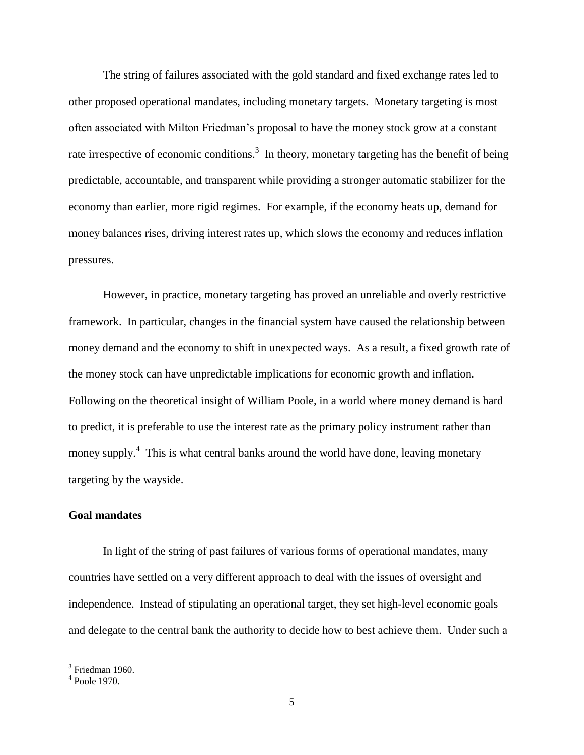The string of failures associated with the gold standard and fixed exchange rates led to other proposed operational mandates, including monetary targets. Monetary targeting is most often associated with Milton Friedman's proposal to have the money stock grow at a constant rate irrespective of economic conditions.<sup>3</sup> In theory, monetary targeting has the benefit of being predictable, accountable, and transparent while providing a stronger automatic stabilizer for the economy than earlier, more rigid regimes. For example, if the economy heats up, demand for money balances rises, driving interest rates up, which slows the economy and reduces inflation pressures.

However, in practice, monetary targeting has proved an unreliable and overly restrictive framework. In particular, changes in the financial system have caused the relationship between money demand and the economy to shift in unexpected ways. As a result, a fixed growth rate of the money stock can have unpredictable implications for economic growth and inflation. Following on the theoretical insight of William Poole, in a world where money demand is hard to predict, it is preferable to use the interest rate as the primary policy instrument rather than money supply.<sup>4</sup> This is what central banks around the world have done, leaving monetary targeting by the wayside.

#### **Goal mandates**

In light of the string of past failures of various forms of operational mandates, many countries have settled on a very different approach to deal with the issues of oversight and independence. Instead of stipulating an operational target, they set high-level economic goals and delegate to the central bank the authority to decide how to best achieve them. Under such a

<sup>&</sup>lt;sup>3</sup> Friedman 1960.

<sup>4</sup> Poole 1970.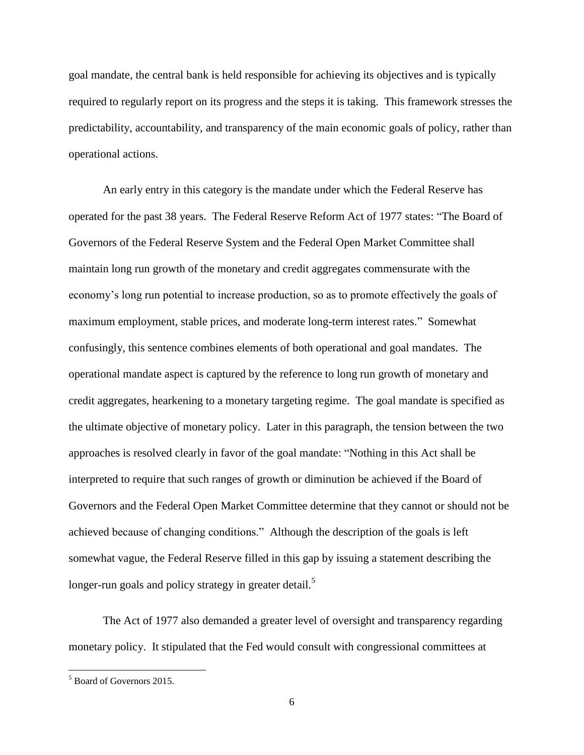goal mandate, the central bank is held responsible for achieving its objectives and is typically required to regularly report on its progress and the steps it is taking. This framework stresses the predictability, accountability, and transparency of the main economic goals of policy, rather than operational actions.

An early entry in this category is the mandate under which the Federal Reserve has operated for the past 38 years. The Federal Reserve Reform Act of 1977 states: "The Board of Governors of the Federal Reserve System and the Federal Open Market Committee shall maintain long run growth of the monetary and credit aggregates commensurate with the economy's long run potential to increase production, so as to promote effectively the goals of maximum employment, stable prices, and moderate long-term interest rates." Somewhat confusingly, this sentence combines elements of both operational and goal mandates. The operational mandate aspect is captured by the reference to long run growth of monetary and credit aggregates, hearkening to a monetary targeting regime. The goal mandate is specified as the ultimate objective of monetary policy. Later in this paragraph, the tension between the two approaches is resolved clearly in favor of the goal mandate: "Nothing in this Act shall be interpreted to require that such ranges of growth or diminution be achieved if the Board of Governors and the Federal Open Market Committee determine that they cannot or should not be achieved because of changing conditions." Although the description of the goals is left somewhat vague, the Federal Reserve filled in this gap by issuing a statement describing the longer-run goals and policy strategy in greater detail.<sup>5</sup>

The Act of 1977 also demanded a greater level of oversight and transparency regarding monetary policy. It stipulated that the Fed would consult with congressional committees at

<sup>5</sup> Board of Governors 2015.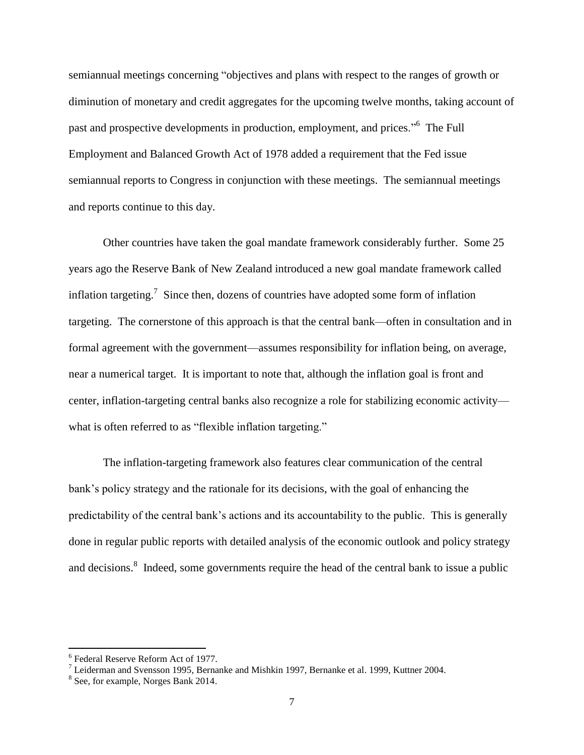semiannual meetings concerning "objectives and plans with respect to the ranges of growth or diminution of monetary and credit aggregates for the upcoming twelve months, taking account of past and prospective developments in production, employment, and prices."<sup>6</sup> The Full Employment and Balanced Growth Act of 1978 added a requirement that the Fed issue semiannual reports to Congress in conjunction with these meetings. The semiannual meetings and reports continue to this day.

Other countries have taken the goal mandate framework considerably further. Some 25 years ago the Reserve Bank of New Zealand introduced a new goal mandate framework called inflation targeting.<sup>7</sup> Since then, dozens of countries have adopted some form of inflation targeting. The cornerstone of this approach is that the central bank—often in consultation and in formal agreement with the government—assumes responsibility for inflation being, on average, near a numerical target. It is important to note that, although the inflation goal is front and center, inflation-targeting central banks also recognize a role for stabilizing economic activity what is often referred to as "flexible inflation targeting."

The inflation-targeting framework also features clear communication of the central bank's policy strategy and the rationale for its decisions, with the goal of enhancing the predictability of the central bank's actions and its accountability to the public. This is generally done in regular public reports with detailed analysis of the economic outlook and policy strategy and decisions.<sup>8</sup> Indeed, some governments require the head of the central bank to issue a public

 6 Federal Reserve Reform Act of 1977.

<sup>&</sup>lt;sup>7</sup> Leiderman and Svensson 1995, Bernanke and Mishkin 1997, Bernanke et al. 1999, Kuttner 2004.

<sup>&</sup>lt;sup>8</sup> See, for example, Norges Bank 2014.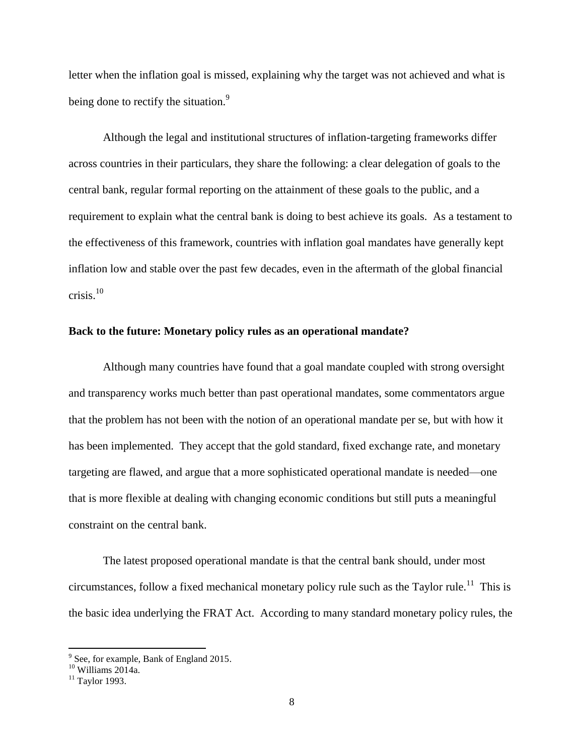letter when the inflation goal is missed, explaining why the target was not achieved and what is being done to rectify the situation.<sup>9</sup>

Although the legal and institutional structures of inflation-targeting frameworks differ across countries in their particulars, they share the following: a clear delegation of goals to the central bank, regular formal reporting on the attainment of these goals to the public, and a requirement to explain what the central bank is doing to best achieve its goals. As a testament to the effectiveness of this framework, countries with inflation goal mandates have generally kept inflation low and stable over the past few decades, even in the aftermath of the global financial crisis.<sup>10</sup>

### **Back to the future: Monetary policy rules as an operational mandate?**

Although many countries have found that a goal mandate coupled with strong oversight and transparency works much better than past operational mandates, some commentators argue that the problem has not been with the notion of an operational mandate per se, but with how it has been implemented. They accept that the gold standard, fixed exchange rate, and monetary targeting are flawed, and argue that a more sophisticated operational mandate is needed—one that is more flexible at dealing with changing economic conditions but still puts a meaningful constraint on the central bank.

The latest proposed operational mandate is that the central bank should, under most circumstances, follow a fixed mechanical monetary policy rule such as the Taylor rule.<sup>11</sup> This is the basic idea underlying the FRAT Act. According to many standard monetary policy rules, the

<sup>&</sup>lt;sup>9</sup> See, for example, Bank of England 2015.

<sup>10</sup> Williams 2014a.

 $11$  Taylor 1993.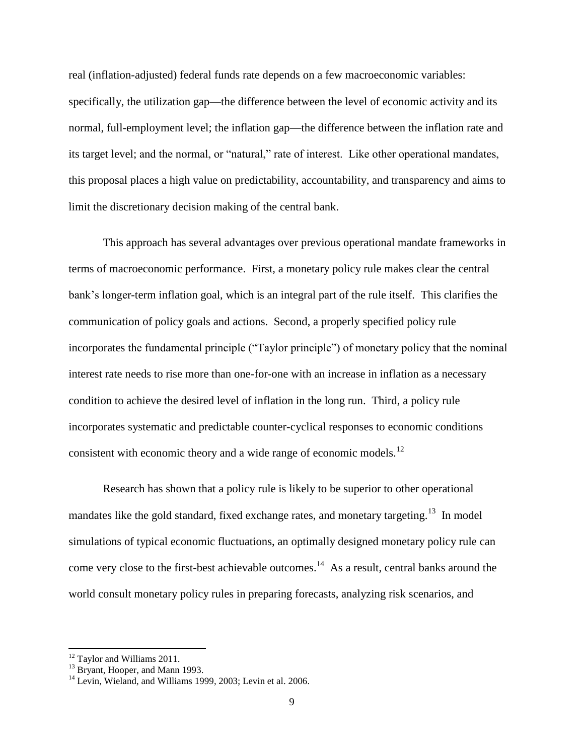real (inflation-adjusted) federal funds rate depends on a few macroeconomic variables: specifically, the utilization gap—the difference between the level of economic activity and its normal, full-employment level; the inflation gap—the difference between the inflation rate and its target level; and the normal, or "natural," rate of interest. Like other operational mandates, this proposal places a high value on predictability, accountability, and transparency and aims to limit the discretionary decision making of the central bank.

This approach has several advantages over previous operational mandate frameworks in terms of macroeconomic performance. First, a monetary policy rule makes clear the central bank's longer-term inflation goal, which is an integral part of the rule itself. This clarifies the communication of policy goals and actions. Second, a properly specified policy rule incorporates the fundamental principle ("Taylor principle") of monetary policy that the nominal interest rate needs to rise more than one-for-one with an increase in inflation as a necessary condition to achieve the desired level of inflation in the long run. Third, a policy rule incorporates systematic and predictable counter-cyclical responses to economic conditions consistent with economic theory and a wide range of economic models.<sup>12</sup>

Research has shown that a policy rule is likely to be superior to other operational mandates like the gold standard, fixed exchange rates, and monetary targeting.<sup>13</sup> In model simulations of typical economic fluctuations, an optimally designed monetary policy rule can come very close to the first-best achievable outcomes.<sup>14</sup> As a result, central banks around the world consult monetary policy rules in preparing forecasts, analyzing risk scenarios, and

<sup>&</sup>lt;sup>12</sup> Taylor and Williams 2011.

<sup>&</sup>lt;sup>13</sup> Bryant, Hooper, and Mann 1993.

 $14$  Levin, Wieland, and Williams 1999, 2003; Levin et al. 2006.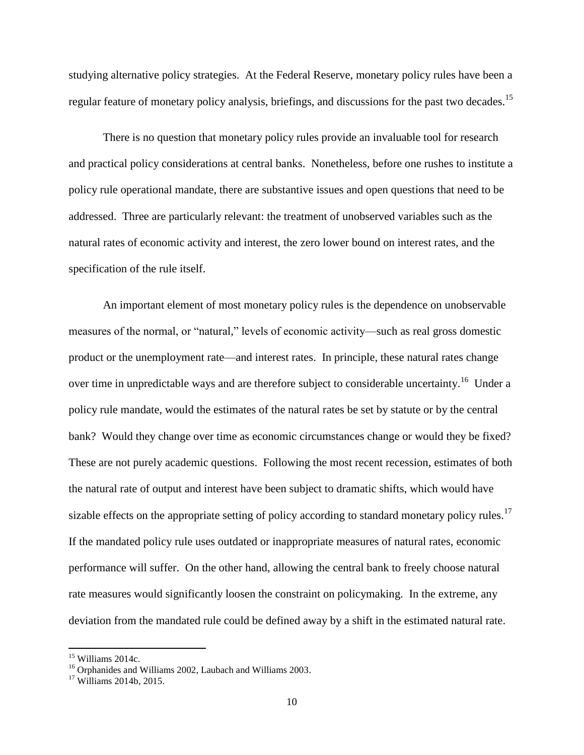studying alternative policy strategies. At the Federal Reserve, monetary policy rules have been a regular feature of monetary policy analysis, briefings, and discussions for the past two decades.<sup>15</sup>

There is no question that monetary policy rules provide an invaluable tool for research and practical policy considerations at central banks. Nonetheless, before one rushes to institute a policy rule operational mandate, there are substantive issues and open questions that need to be addressed. Three are particularly relevant: the treatment of unobserved variables such as the natural rates of economic activity and interest, the zero lower bound on interest rates, and the specification of the rule itself.

An important element of most monetary policy rules is the dependence on unobservable measures of the normal, or "natural," levels of economic activity—such as real gross domestic product or the unemployment rate—and interest rates. In principle, these natural rates change over time in unpredictable ways and are therefore subject to considerable uncertainty.<sup>16</sup> Under a policy rule mandate, would the estimates of the natural rates be set by statute or by the central bank? Would they change over time as economic circumstances change or would they be fixed? These are not purely academic questions. Following the most recent recession, estimates of both the natural rate of output and interest have been subject to dramatic shifts, which would have sizable effects on the appropriate setting of policy according to standard monetary policy rules.<sup>17</sup> If the mandated policy rule uses outdated or inappropriate measures of natural rates, economic performance will suffer. On the other hand, allowing the central bank to freely choose natural rate measures would significantly loosen the constraint on policymaking. In the extreme, any deviation from the mandated rule could be defined away by a shift in the estimated natural rate.

<sup>&</sup>lt;sup>15</sup> Williams 2014c.

<sup>&</sup>lt;sup>16</sup> Orphanides and Williams 2002, Laubach and Williams 2003.

 $17$  Williams 2014b, 2015.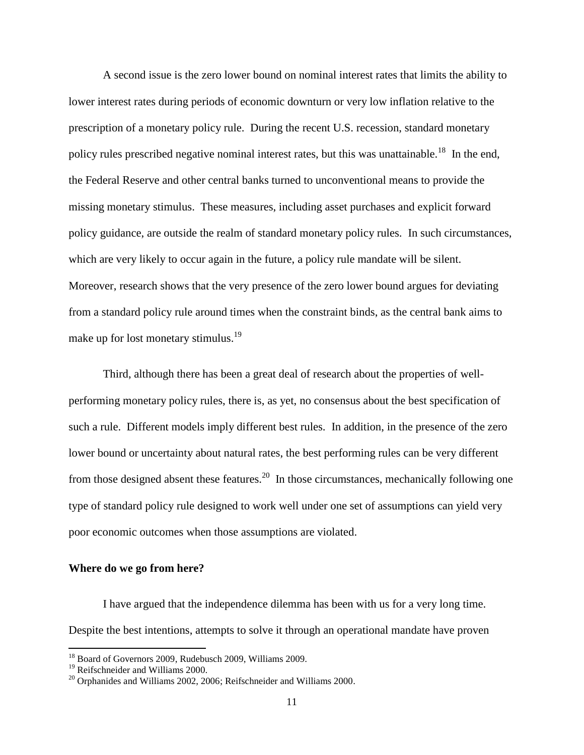A second issue is the zero lower bound on nominal interest rates that limits the ability to lower interest rates during periods of economic downturn or very low inflation relative to the prescription of a monetary policy rule. During the recent U.S. recession, standard monetary policy rules prescribed negative nominal interest rates, but this was unattainable.<sup>18</sup> In the end, the Federal Reserve and other central banks turned to unconventional means to provide the missing monetary stimulus. These measures, including asset purchases and explicit forward policy guidance, are outside the realm of standard monetary policy rules. In such circumstances, which are very likely to occur again in the future, a policy rule mandate will be silent. Moreover, research shows that the very presence of the zero lower bound argues for deviating from a standard policy rule around times when the constraint binds, as the central bank aims to make up for lost monetary stimulus.<sup>19</sup>

Third, although there has been a great deal of research about the properties of wellperforming monetary policy rules, there is, as yet, no consensus about the best specification of such a rule. Different models imply different best rules. In addition, in the presence of the zero lower bound or uncertainty about natural rates, the best performing rules can be very different from those designed absent these features.<sup>20</sup> In those circumstances, mechanically following one type of standard policy rule designed to work well under one set of assumptions can yield very poor economic outcomes when those assumptions are violated.

# **Where do we go from here?**

I have argued that the independence dilemma has been with us for a very long time. Despite the best intentions, attempts to solve it through an operational mandate have proven

<sup>&</sup>lt;sup>18</sup> Board of Governors 2009, Rudebusch 2009, Williams 2009.

<sup>&</sup>lt;sup>19</sup> Reifschneider and Williams 2000.

 $^{20}$  Orphanides and Williams 2002, 2006; Reifschneider and Williams 2000.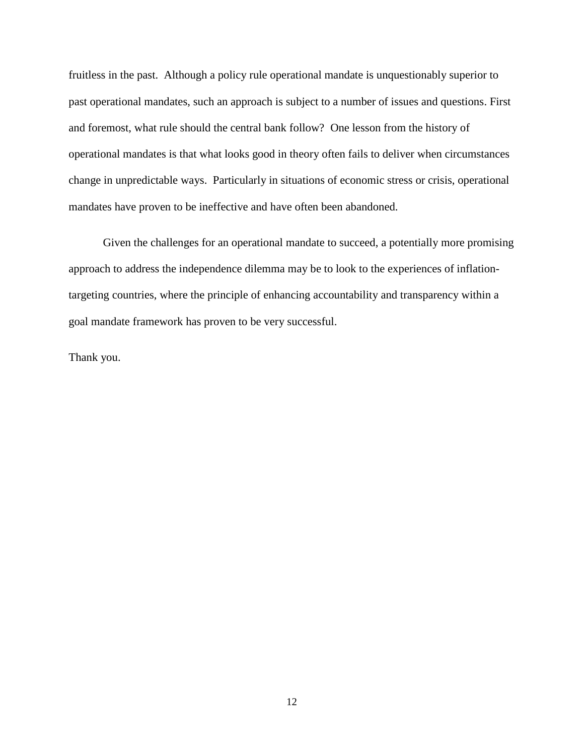fruitless in the past. Although a policy rule operational mandate is unquestionably superior to past operational mandates, such an approach is subject to a number of issues and questions. First and foremost, what rule should the central bank follow? One lesson from the history of operational mandates is that what looks good in theory often fails to deliver when circumstances change in unpredictable ways. Particularly in situations of economic stress or crisis, operational mandates have proven to be ineffective and have often been abandoned.

Given the challenges for an operational mandate to succeed, a potentially more promising approach to address the independence dilemma may be to look to the experiences of inflationtargeting countries, where the principle of enhancing accountability and transparency within a goal mandate framework has proven to be very successful.

Thank you.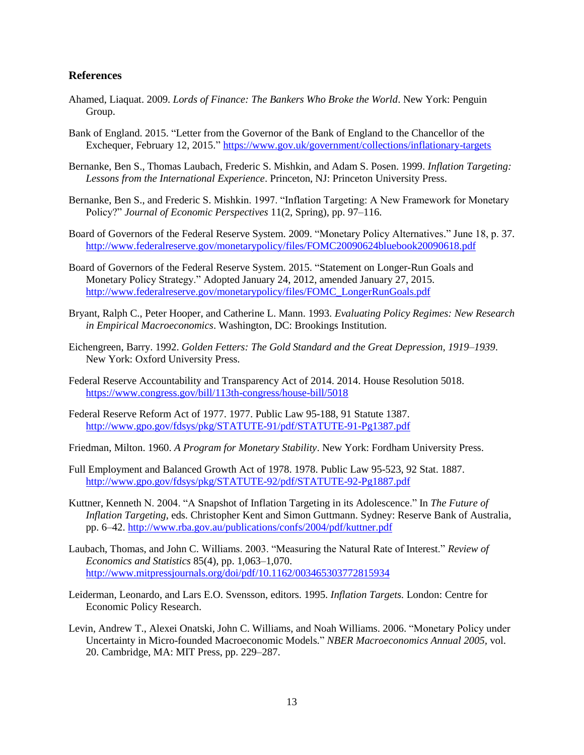# **References**

- Ahamed, Liaquat. 2009. *Lords of Finance: The Bankers Who Broke the World*. New York: Penguin Group.
- Bank of England. 2015. "Letter from the Governor of the Bank of England to the Chancellor of the Exchequer, February 12, 2015." <https://www.gov.uk/government/collections/inflationary-targets>
- Bernanke, Ben S., Thomas Laubach, Frederic S. Mishkin, and Adam S. Posen. 1999. *Inflation Targeting: Lessons from the International Experience*. Princeton, NJ: Princeton University Press.
- Bernanke, Ben S., and Frederic S. Mishkin. 1997. "Inflation Targeting: A New Framework for Monetary Policy?" *Journal of Economic Perspectives* 11(2, Spring), pp. 97–116.
- Board of Governors of the Federal Reserve System. 2009. "Monetary Policy Alternatives." June 18, p. 37. <http://www.federalreserve.gov/monetarypolicy/files/FOMC20090624bluebook20090618.pdf>
- Board of Governors of the Federal Reserve System. 2015. "Statement on Longer-Run Goals and Monetary Policy Strategy." Adopted January 24, 2012, amended January 27, 2015. [http://www.federalreserve.gov/monetarypolicy/files/FOMC\\_LongerRunGoals.pdf](http://www.federalreserve.gov/monetarypolicy/files/FOMC_LongerRunGoals.pdf)
- Bryant, Ralph C., Peter Hooper, and Catherine L. Mann. 1993. *Evaluating Policy Regimes: New Research in Empirical Macroeconomics*. Washington, DC: Brookings Institution.
- Eichengreen, Barry. 1992. *Golden Fetters: The Gold Standard and the Great Depression, 1919–1939*. New York: Oxford University Press.
- Federal Reserve Accountability and Transparency Act of 2014. 2014. House Resolution 5018. <https://www.congress.gov/bill/113th-congress/house-bill/5018>
- Federal Reserve Reform Act of 1977. 1977. Public Law 95-188, 91 Statute 1387. <http://www.gpo.gov/fdsys/pkg/STATUTE-91/pdf/STATUTE-91-Pg1387.pdf>
- Friedman, Milton. 1960. *A Program for Monetary Stability*. New York: Fordham University Press.
- Full Employment and Balanced Growth Act of 1978. 1978. Public Law 95-523, 92 Stat. 1887. <http://www.gpo.gov/fdsys/pkg/STATUTE-92/pdf/STATUTE-92-Pg1887.pdf>
- Kuttner, Kenneth N. 2004. "A Snapshot of Inflation Targeting in its Adolescence." In *The Future of Inflation Targeting*, eds. Christopher Kent and Simon Guttmann. Sydney: Reserve Bank of Australia, pp. 6–42.<http://www.rba.gov.au/publications/confs/2004/pdf/kuttner.pdf>
- Laubach, Thomas, and John C. Williams. 2003. "Measuring the Natural Rate of Interest." *Review of Economics and Statistics* 85(4), pp. 1,063–1,070. <http://www.mitpressjournals.org/doi/pdf/10.1162/003465303772815934>
- Leiderman, Leonardo, and Lars E.O. Svensson, editors. 1995. *Inflation Targets.* London: Centre for Economic Policy Research.
- Levin, Andrew T., Alexei Onatski, John C. Williams, and Noah Williams. 2006. "Monetary Policy under Uncertainty in Micro-founded Macroeconomic Models." *NBER Macroeconomics Annual 2005,* vol. 20. Cambridge, MA: MIT Press, pp. 229–287.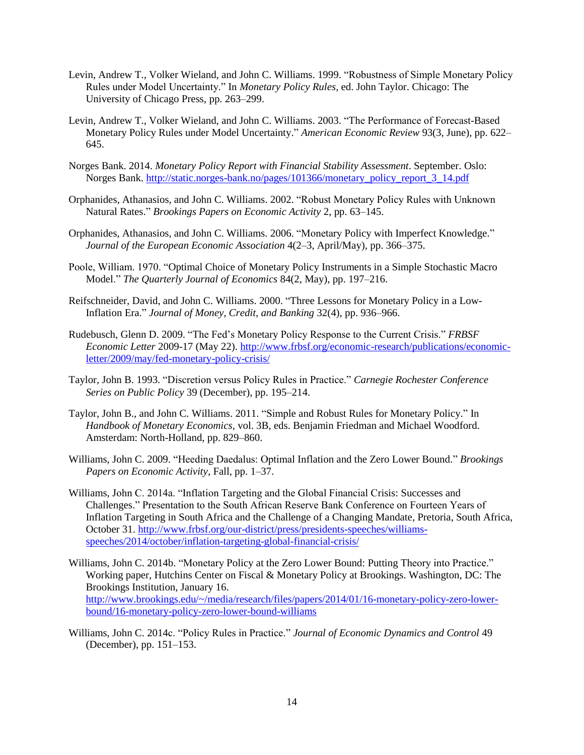- Levin, Andrew T., Volker Wieland, and John C. Williams. 1999. "Robustness of Simple Monetary Policy Rules under Model Uncertainty." In *Monetary Policy Rules,* ed. John Taylor. Chicago: The University of Chicago Press, pp. 263–299.
- Levin, Andrew T., Volker Wieland, and John C. Williams. 2003. "The Performance of Forecast-Based Monetary Policy Rules under Model Uncertainty." *American Economic Review* 93(3, June), pp. 622– 645.
- Norges Bank. 2014. *Monetary Policy Report with Financial Stability Assessment*. September. Oslo: Norges Bank. [http://static.norges-bank.no/pages/101366/monetary\\_policy\\_report\\_3\\_14.pdf](http://static.norges-bank.no/pages/101366/monetary_policy_report_3_14.pdf)
- Orphanides, Athanasios, and John C. Williams. 2002. "Robust Monetary Policy Rules with Unknown Natural Rates." *Brookings Papers on Economic Activity* 2, pp. 63–145.
- Orphanides, Athanasios, and John C. Williams. 2006. "Monetary Policy with Imperfect Knowledge." *Journal of the European Economic Association* 4(2–3, April/May), pp. 366–375.
- Poole, William. 1970. "Optimal Choice of Monetary Policy Instruments in a Simple Stochastic Macro Model." *The Quarterly Journal of Economics* 84(2, May), pp. 197–216.
- Reifschneider, David, and John C. Williams. 2000. "Three Lessons for Monetary Policy in a Low-Inflation Era." *Journal of Money, Credit, and Banking* 32(4), pp. 936–966.
- Rudebusch, Glenn D. 2009. "The Fed's Monetary Policy Response to the Current Crisis." *FRBSF Economic Letter* 2009-17 (May 22). [http://www.frbsf.org/economic-research/publications/economic](http://www.frbsf.org/economic-research/publications/economic-letter/2009/may/fed-monetary-policy-crisis/)[letter/2009/may/fed-monetary-policy-crisis/](http://www.frbsf.org/economic-research/publications/economic-letter/2009/may/fed-monetary-policy-crisis/)
- Taylor, John B. 1993. "Discretion versus Policy Rules in Practice." *Carnegie Rochester Conference Series on Public Policy* 39 (December), pp. 195–214.
- Taylor, John B., and John C. Williams. 2011. "Simple and Robust Rules for Monetary Policy." In *Handbook of Monetary Economics*, vol. 3B, eds. Benjamin Friedman and Michael Woodford. Amsterdam: North-Holland, pp. 829–860.
- Williams, John C. 2009. "Heeding Daedalus: Optimal Inflation and the Zero Lower Bound." *Brookings Papers on Economic Activity*, Fall, pp. 1–37.
- Williams, John C. 2014a. "Inflation Targeting and the Global Financial Crisis: Successes and Challenges." Presentation to the South African Reserve Bank Conference on Fourteen Years of Inflation Targeting in South Africa and the Challenge of a Changing Mandate, Pretoria, South Africa, October 31[. http://www.frbsf.org/our-district/press/presidents-speeches/williams](http://www.frbsf.org/our-district/press/presidents-speeches/williams-speeches/2014/october/inflation-targeting-global-financial-crisis/)[speeches/2014/october/inflation-targeting-global-financial-crisis/](http://www.frbsf.org/our-district/press/presidents-speeches/williams-speeches/2014/october/inflation-targeting-global-financial-crisis/)
- Williams, John C. 2014b. "Monetary Policy at the Zero Lower Bound: Putting Theory into Practice." Working paper, Hutchins Center on Fiscal & Monetary Policy at Brookings. Washington, DC: The Brookings Institution, January 16. [http://www.brookings.edu/~/media/research/files/papers/2014/01/16-monetary-policy-zero-lower](http://www.brookings.edu/~/media/research/files/papers/2014/01/16-monetary-policy-zero-lower-bound/16-monetary-policy-zero-lower-bound-williams)[bound/16-monetary-policy-zero-lower-bound-williams](http://www.brookings.edu/~/media/research/files/papers/2014/01/16-monetary-policy-zero-lower-bound/16-monetary-policy-zero-lower-bound-williams)
- Williams, John C. 2014c. "Policy Rules in Practice." *Journal of Economic Dynamics and Control* 49 (December), pp. 151–153.